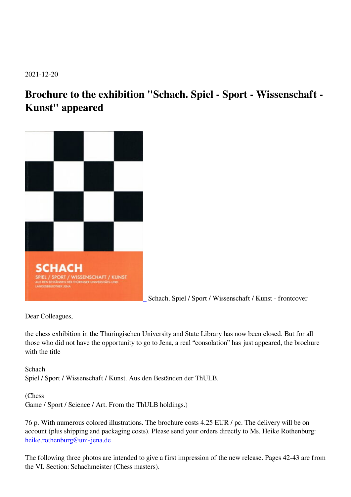2021-12-20

## **Brochure to the exhibition "Schach. Spiel - Sport - Wissenschaft - Kunst" appeared**



Schach. Spiel / Sport / Wissenschaft / Kunst - frontcover

Dear Colleagues,

the chess exhibition in the Thüringischen University and State Library has now been closed. But for all those who did not have the opportunity to go to Jena, a real "consolation" has just appeared, the brochure with the title

**Schach** Spiel / Sport / Wissenschaft / Kunst. Aus den Beständen der ThULB.

(Chess Game / Sport / Science / Art. From the ThULB holdings.)

76 p. With numerous colored illustrations. The brochure costs 4.25 EUR / pc. The delivery will be on account (plus shipping and packaging costs). Please send your orders directly to Ms. Heike Rothenburg: [heike.rothenburg@uni-jena.de](mailto:heike.rothenburg@uni-jena.de)

The following three photos are intended to give a first impression of the new release. Pages 42-43 are from the VI. Section: Schachmeister (Chess masters).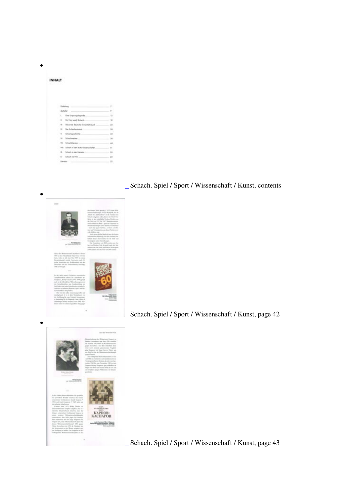| <b>INHALT</b> | zwa matao a                           |                                                                                                                                                                                                                                                        |              |
|---------------|---------------------------------------|--------------------------------------------------------------------------------------------------------------------------------------------------------------------------------------------------------------------------------------------------------|--------------|
|               |                                       |                                                                                                                                                                                                                                                        |              |
|               |                                       |                                                                                                                                                                                                                                                        |              |
|               | and the company's company's company's |                                                                                                                                                                                                                                                        | $\mathbb{R}$ |
|               |                                       |                                                                                                                                                                                                                                                        |              |
|               |                                       |                                                                                                                                                                                                                                                        |              |
|               | 4.11                                  | for Ford speak Schuck<br>____                                                                                                                                                                                                                          | $\mathbf{u}$ |
|               |                                       | 65 Eng were deutsche Schachtsbelauch                                                                                                                                                                                                                   | 22           |
|               |                                       |                                                                                                                                                                                                                                                        | 36           |
|               |                                       | N Schuckgeschicher                                                                                                                                                                                                                                     | 33           |
|               |                                       | <u> 1999 - 199</u><br>Schoolsnighter.                                                                                                                                                                                                                  | 38           |
|               |                                       | Schucklingstat: Charles Committee                                                                                                                                                                                                                      | 46           |
|               |                                       | 101 Schock to day Kuharamanachalian                                                                                                                                                                                                                    | 81.          |
|               |                                       | 05. School in the University                                                                                                                                                                                                                           | m            |
|               |                                       |                                                                                                                                                                                                                                                        | $^{4+}$      |
|               |                                       | <b>Elentor</b><br><u> San Angeler and San Angeler and San Angeler and San Angeler and San Angeler and San Angeler and San Angeler and San Angeler and San Angeler and San Angeler and San Angeler and San Angeler and San Angeler and San Angeler </u> | $-79$        |

## Schach. Spiel / Sport / Wissenschaft / Kunst, contents



Schach. Spiel / Sport / Wissenschaft / Kunst, page 42



Schach. Spiel / Sport / Wissenschaft / Kunst, page 43